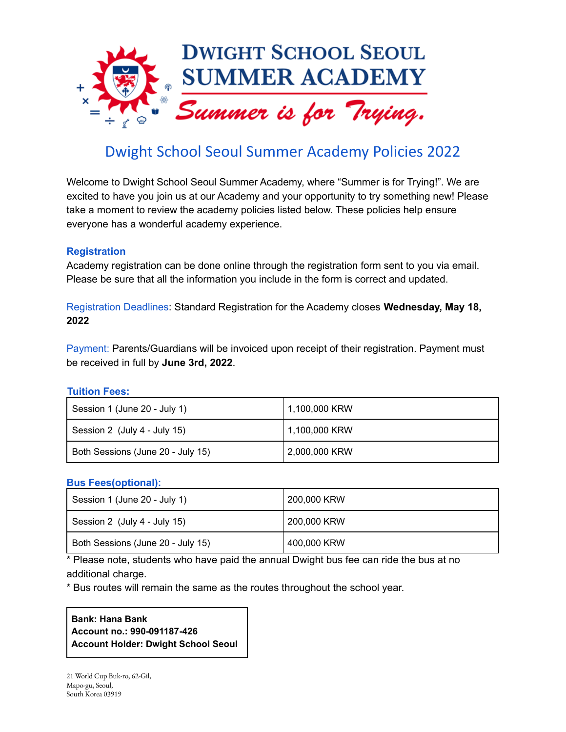

# Dwight School Seoul Summer Academy Policies 2022

Welcome to Dwight School Seoul Summer Academy, where "Summer is for Trying!". We are excited to have you join us at our Academy and your opportunity to try something new! Please take a moment to review the academy policies listed below. These policies help ensure everyone has a wonderful academy experience.

## **Registration**

Academy registration can be done online through the registration form sent to you via email. Please be sure that all the information you include in the form is correct and updated.

Registration Deadlines: Standard Registration for the Academy closes **Wednesday, May 18, 2022**

Payment: Parents/Guardians will be invoiced upon receipt of their registration. Payment must be received in full by **June 3rd, 2022**.

## **Tuition Fees:**

| Session 1 (June 20 - July 1)      | 1,100,000 KRW |
|-----------------------------------|---------------|
| Session 2 (July 4 - July 15)      | 1,100,000 KRW |
| Both Sessions (June 20 - July 15) | 2,000,000 KRW |

## **Bus Fees(optional):**

| Session 1 (June 20 - July 1)      | 200,000 KRW |
|-----------------------------------|-------------|
| Session 2 (July 4 - July 15)      | 200,000 KRW |
| Both Sessions (June 20 - July 15) | 400,000 KRW |

\* Please note, students who have paid the annual Dwight bus fee can ride the bus at no additional charge.

\* Bus routes will remain the same as the routes throughout the school year.

## **Bank: Hana Bank Account no.: 990-091187-426 Account Holder: Dwight School Seoul**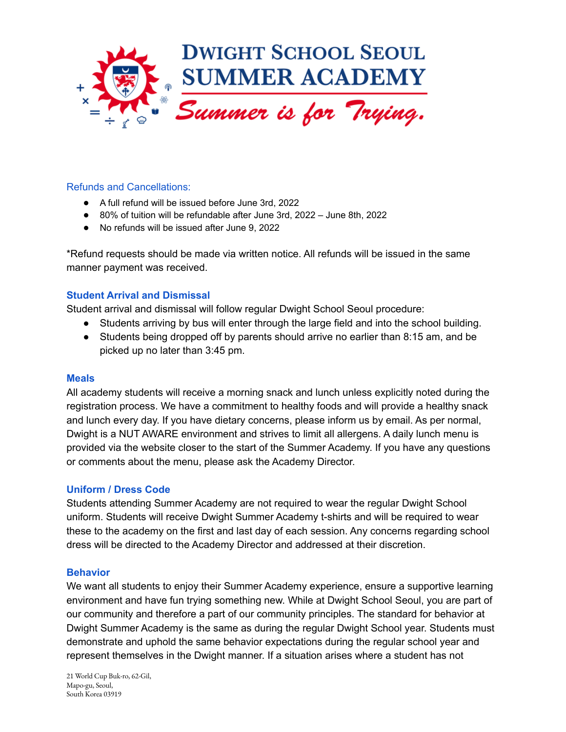

## Refunds and Cancellations:

- A full refund will be issued before June 3rd, 2022
- 80% of tuition will be refundable after June 3rd, 2022 June 8th, 2022
- No refunds will be issued after June 9, 2022

\*Refund requests should be made via written notice. All refunds will be issued in the same manner payment was received.

#### **Student Arrival and Dismissal**

Student arrival and dismissal will follow regular Dwight School Seoul procedure:

- Students arriving by bus will enter through the large field and into the school building.
- Students being dropped off by parents should arrive no earlier than 8:15 am, and be picked up no later than 3:45 pm.

#### **Meals**

All academy students will receive a morning snack and lunch unless explicitly noted during the registration process. We have a commitment to healthy foods and will provide a healthy snack and lunch every day. If you have dietary concerns, please inform us by email. As per normal, Dwight is a NUT AWARE environment and strives to limit all allergens. A daily lunch menu is provided via the website closer to the start of the Summer Academy. If you have any questions or comments about the menu, please ask the Academy Director.

#### **Uniform / Dress Code**

Students attending Summer Academy are not required to wear the regular Dwight School uniform. Students will receive Dwight Summer Academy t-shirts and will be required to wear these to the academy on the first and last day of each session. Any concerns regarding school dress will be directed to the Academy Director and addressed at their discretion.

#### **Behavior**

We want all students to enjoy their Summer Academy experience, ensure a supportive learning environment and have fun trying something new. While at Dwight School Seoul, you are part of our community and therefore a part of our community principles. The standard for behavior at Dwight Summer Academy is the same as during the regular Dwight School year. Students must demonstrate and uphold the same behavior expectations during the regular school year and represent themselves in the Dwight manner. If a situation arises where a student has not

21 World Cup Buk-ro, 62-Gil, Mapo-gu, Seoul, South Korea 03919